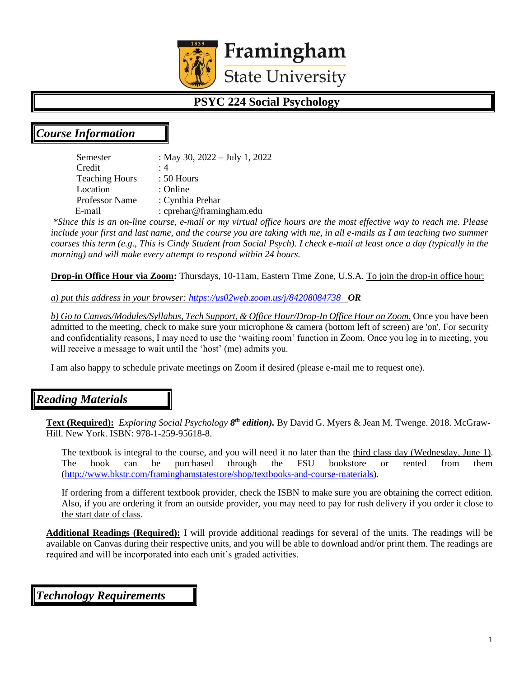

# **PSYC 224 Social Psychology**

# *Course Information*

Semester : May 30, 2022 – July 1, 2022 Credit : 4 Teaching Hours : 50 Hours Location : Online Professor Name : Cynthia Prehar E-mail : cprehar@framingham.edu

*\*Since this is an on-line course, e-mail or my virtual office hours are the most effective way to reach me. Please include your first and last name, and the course you are taking with me, in all e-mails as I am teaching two summer courses this term (e.g., This is Cindy Student from Social Psych). I check e-mail at least once a day (typically in the morning) and will make every attempt to respond within 24 hours.* 

**Drop-in Office Hour via Zoom:** Thursdays, 10-11am, Eastern Time Zone, U.S.A. To join the drop-in office hour:

*a) put this address in your browser:<https://us02web.zoom.us/j/84208084738>OR*

*b) Go to Canvas/Modules/Syllabus, Tech Support, & Office Hour/Drop-In Office Hour on Zoom.* Once you have been admitted to the meeting, check to make sure your microphone & camera (bottom left of screen) are 'on'. For security and confidentiality reasons, I may need to use the 'waiting room' function in Zoom. Once you log in to meeting, you will receive a message to wait until the 'host' (me) admits you.

I am also happy to schedule private meetings on Zoom if desired (please e-mail me to request one).

# *Reading Materials*

Text (Required): *Exploring Social Psychology 8<sup>th</sup> edition*). By David G. Myers & Jean M. Twenge. 2018. McGraw-Hill. New York. ISBN: 978-1-259-95618-8.

The textbook is integral to the course, and you will need it no later than the third class day (Wednesday, June 1). The book can be purchased through the FSU bookstore or rented from them [\(http://www.bkstr.com/framinghamstatestore/shop/textbooks-and-course-materials\)](http://www.bkstr.com/framinghamstatestore/shop/textbooks-and-course-materials).

If ordering from a different textbook provider, check the ISBN to make sure you are obtaining the correct edition. Also, if you are ordering it from an outside provider, you may need to pay for rush delivery if you order it close to the start date of class.

**Additional Readings (Required):** I will provide additional readings for several of the units. The readings will be available on Canvas during their respective units, and you will be able to download and/or print them. The readings are required and will be incorporated into each unit's graded activities.

*Technology Requirements*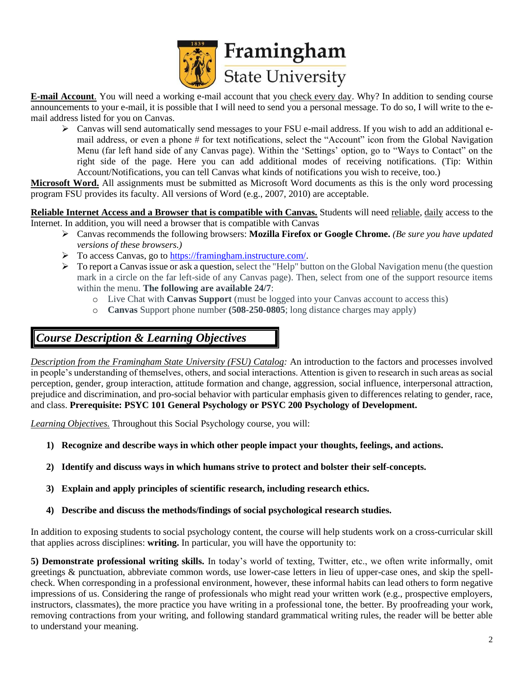

**E-mail Account**. You will need a working e-mail account that you check every day. Why? In addition to sending course announcements to your e-mail, it is possible that I will need to send you a personal message. To do so, I will write to the email address listed for you on Canvas.

➢ Canvas will send automatically send messages to your FSU e-mail address. If you wish to add an additional email address, or even a phone # for text notifications, select the "Account" icon from the Global Navigation Menu (far left hand side of any Canvas page). Within the 'Settings' option, go to "Ways to Contact" on the right side of the page. Here you can add additional modes of receiving notifications. (Tip: Within Account/Notifications, you can tell Canvas what kinds of notifications you wish to receive, too.)

**Microsoft Word.** All assignments must be submitted as Microsoft Word documents as this is the only word processing program FSU provides its faculty. All versions of Word (e.g., 2007, 2010) are acceptable.

**Reliable Internet Access and a Browser that is compatible with Canvas.** Students will need reliable, daily access to the Internet. In addition, you will need a browser that is compatible with Canvas

- ➢ Canvas recommends the following browsers: **Mozilla Firefox or Google Chrome.** *(Be sure you have updated versions of these browsers.)*
- ➢ To access Canvas, go t[o https://framingham.instructure.com/.](https://framingham.instructure.com/)
- $\triangleright$  To report a Canvas issue or ask a question, select the "Help" button on the Global Navigation menu (the question mark in a circle on the far left-side of any Canvas page). Then, select from one of the support resource items within the menu. **The following are available 24/7**:
	- o Live Chat with **Canvas Support** (must be logged into your Canvas account to access this)
	- o **Canvas** Support phone number **(508-250-0805**; long distance charges may apply)

# *Course Description & Learning Objectives*

*Description from the Framingham State University (FSU) Catalog:* An introduction to the factors and processes involved in people's understanding of themselves, others, and social interactions. Attention is given to research in such areas as social perception, gender, group interaction, attitude formation and change, aggression, social influence, interpersonal attraction, prejudice and discrimination, and pro-social behavior with particular emphasis given to differences relating to gender, race, and class. **Prerequisite: PSYC 101 General Psychology or PSYC 200 Psychology of Development.**

*Learning Objectives.* Throughout this Social Psychology course, you will:

- **1) Recognize and describe ways in which other people impact your thoughts, feelings, and actions.**
- **2) Identify and discuss ways in which humans strive to protect and bolster their self-concepts.**
- **3) Explain and apply principles of scientific research, including research ethics.**
- **4) Describe and discuss the methods/findings of social psychological research studies.**

In addition to exposing students to social psychology content, the course will help students work on a cross-curricular skill that applies across disciplines: **writing.** In particular, you will have the opportunity to:

**5) Demonstrate professional writing skills.** In today's world of texting, Twitter, etc., we often write informally, omit greetings & punctuation, abbreviate common words, use lower-case letters in lieu of upper-case ones, and skip the spellcheck. When corresponding in a professional environment, however, these informal habits can lead others to form negative impressions of us. Considering the range of professionals who might read your written work (e.g., prospective employers, instructors, classmates), the more practice you have writing in a professional tone, the better. By proofreading your work, removing contractions from your writing, and following standard grammatical writing rules, the reader will be better able to understand your meaning.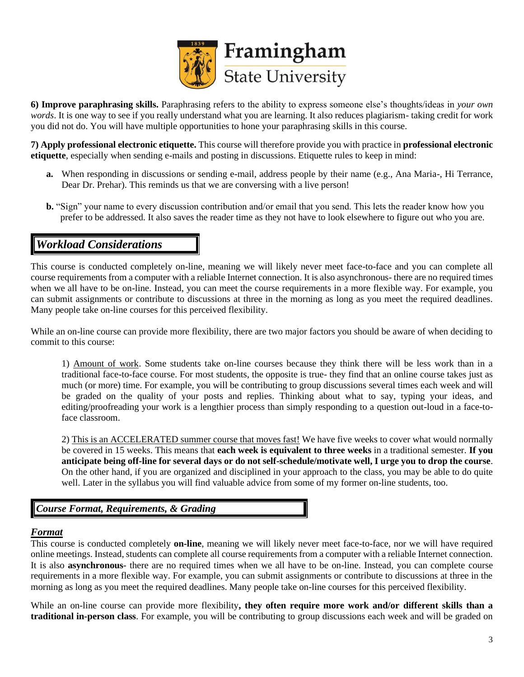

**6) Improve paraphrasing skills.** Paraphrasing refers to the ability to express someone else's thoughts/ideas in *your own words*. It is one way to see if you really understand what you are learning. It also reduces plagiarism- taking credit for work you did not do. You will have multiple opportunities to hone your paraphrasing skills in this course.

**7) Apply professional electronic etiquette.** This course will therefore provide you with practice in **professional electronic etiquette**, especially when sending e-mails and posting in discussions. Etiquette rules to keep in mind:

- **a.** When responding in discussions or sending e-mail, address people by their name (e.g., Ana Maria-, Hi Terrance, Dear Dr. Prehar). This reminds us that we are conversing with a live person!
- **b.** "Sign" your name to every discussion contribution and/or email that you send. This lets the reader know how you prefer to be addressed. It also saves the reader time as they not have to look elsewhere to figure out who you are.

### *Workload Considerations*

This course is conducted completely on-line, meaning we will likely never meet face-to-face and you can complete all course requirements from a computer with a reliable Internet connection. It is also asynchronous- there are no required times when we all have to be on-line. Instead, you can meet the course requirements in a more flexible way. For example, you can submit assignments or contribute to discussions at three in the morning as long as you meet the required deadlines. Many people take on-line courses for this perceived flexibility.

While an on-line course can provide more flexibility, there are two major factors you should be aware of when deciding to commit to this course:

1) Amount of work. Some students take on-line courses because they think there will be less work than in a traditional face-to-face course. For most students, the opposite is true- they find that an online course takes just as much (or more) time. For example, you will be contributing to group discussions several times each week and will be graded on the quality of your posts and replies. Thinking about what to say, typing your ideas, and editing/proofreading your work is a lengthier process than simply responding to a question out-loud in a face-toface classroom.

2) This is an ACCELERATED summer course that moves fast! We have five weeks to cover what would normally be covered in 15 weeks. This means that **each week is equivalent to three weeks** in a traditional semester. **If you anticipate being off-line for several days or do not self-schedule/motivate well, I urge you to drop the course**. On the other hand, if you are organized and disciplined in your approach to the class, you may be able to do quite well. Later in the syllabus you will find valuable advice from some of my former on-line students, too.

*Course Format, Requirements, & Grading*

### *Format*

This course is conducted completely **on-line**, meaning we will likely never meet face-to-face, nor we will have required online meetings. Instead, students can complete all course requirements from a computer with a reliable Internet connection. It is also **asynchronous**- there are no required times when we all have to be on-line. Instead, you can complete course requirements in a more flexible way. For example, you can submit assignments or contribute to discussions at three in the morning as long as you meet the required deadlines. Many people take on-line courses for this perceived flexibility.

While an on-line course can provide more flexibility**, they often require more work and/or different skills than a traditional in-person class**. For example, you will be contributing to group discussions each week and will be graded on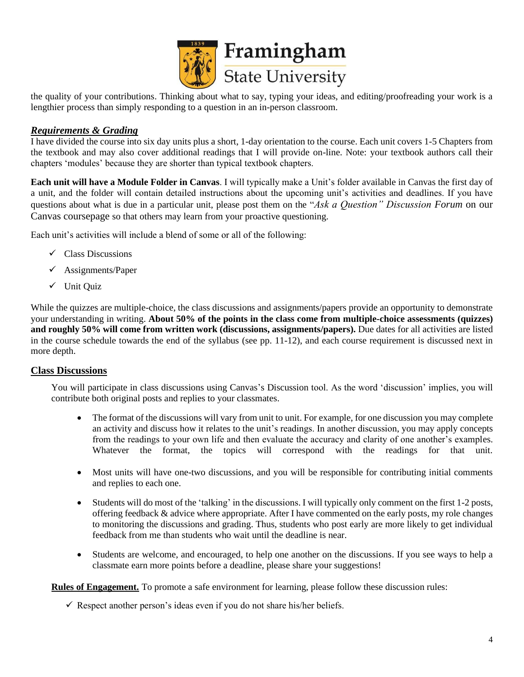

the quality of your contributions. Thinking about what to say, typing your ideas, and editing/proofreading your work is a lengthier process than simply responding to a question in an in-person classroom.

### *Requirements & Grading*

I have divided the course into six day units plus a short, 1-day orientation to the course. Each unit covers 1-5 Chapters from the textbook and may also cover additional readings that I will provide on-line. Note: your textbook authors call their chapters 'modules' because they are shorter than typical textbook chapters.

**Each unit will have a Module Folder in Canvas**. I will typically make a Unit's folder available in Canvas the first day of a unit, and the folder will contain detailed instructions about the upcoming unit's activities and deadlines. If you have questions about what is due in a particular unit, please post them on the "*Ask a Question" Discussion Forum* on our Canvas coursepage so that others may learn from your proactive questioning.

Each unit's activities will include a blend of some or all of the following:

- $\checkmark$  Class Discussions
- $\checkmark$  Assignments/Paper
- ✓ Unit Quiz

While the quizzes are multiple-choice, the class discussions and assignments/papers provide an opportunity to demonstrate your understanding in writing. **About 50% of the points in the class come from multiple-choice assessments (quizzes) and roughly 50% will come from written work (discussions, assignments/papers).** Due dates for all activities are listed in the course schedule towards the end of the syllabus (see pp. 11-12), and each course requirement is discussed next in more depth.

### **Class Discussions**

You will participate in class discussions using Canvas's Discussion tool. As the word 'discussion' implies, you will contribute both original posts and replies to your classmates.

- The format of the discussions will vary from unit to unit. For example, for one discussion you may complete an activity and discuss how it relates to the unit's readings. In another discussion, you may apply concepts from the readings to your own life and then evaluate the accuracy and clarity of one another's examples. Whatever the format, the topics will correspond with the readings for that unit.
- Most units will have one-two discussions, and you will be responsible for contributing initial comments and replies to each one.
- Students will do most of the 'talking' in the discussions. I will typically only comment on the first 1-2 posts, offering feedback & advice where appropriate. After I have commented on the early posts, my role changes to monitoring the discussions and grading. Thus, students who post early are more likely to get individual feedback from me than students who wait until the deadline is near.
- Students are welcome, and encouraged, to help one another on the discussions. If you see ways to help a classmate earn more points before a deadline, please share your suggestions!

**Rules of Engagement.** To promote a safe environment for learning, please follow these discussion rules:

 $\checkmark$  Respect another person's ideas even if you do not share his/her beliefs.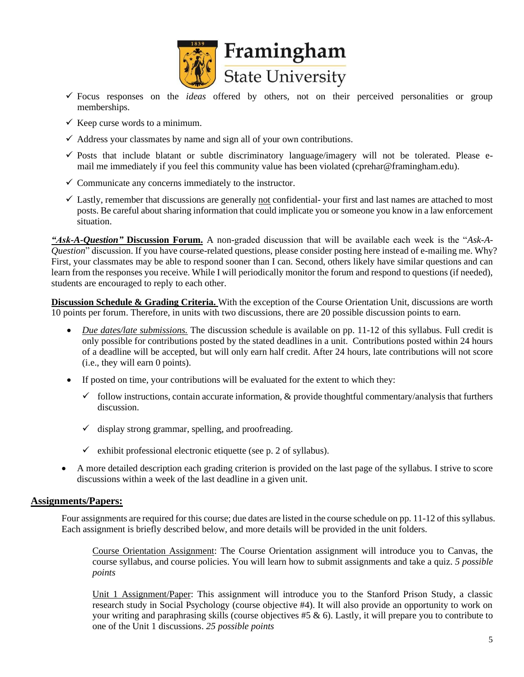

- ✓ Focus responses on the *ideas* offered by others, not on their perceived personalities or group memberships.
- $\checkmark$  Keep curse words to a minimum.
- $\checkmark$  Address your classmates by name and sign all of your own contributions.
- $\checkmark$  Posts that include blatant or subtle discriminatory language/imagery will not be tolerated. Please email me immediately if you feel this community value has been violated (cprehar@framingham.edu).
- $\checkmark$  Communicate any concerns immediately to the instructor.
- $\checkmark$  Lastly, remember that discussions are generally not confidential-your first and last names are attached to most posts. Be careful about sharing information that could implicate you or someone you know in a law enforcement situation.

*"Ask-A-Question"* **Discussion Forum.** A non-graded discussion that will be available each week is the "*Ask-A-Question*" discussion. If you have course-related questions, please consider posting here instead of e-mailing me. Why? First, your classmates may be able to respond sooner than I can. Second, others likely have similar questions and can learn from the responses you receive. While I will periodically monitor the forum and respond to questions (if needed), students are encouraged to reply to each other.

**Discussion Schedule & Grading Criteria.** With the exception of the Course Orientation Unit, discussions are worth 10 points per forum. Therefore, in units with two discussions, there are 20 possible discussion points to earn.

- *Due dates/late submissions.* The discussion schedule is available on pp. 11-12 of this syllabus. Full credit is only possible for contributions posted by the stated deadlines in a unit. Contributions posted within 24 hours of a deadline will be accepted, but will only earn half credit. After 24 hours, late contributions will not score (i.e., they will earn 0 points).
- If posted on time, your contributions will be evaluated for the extent to which they:
	- $\checkmark$  follow instructions, contain accurate information, & provide thoughtful commentary/analysis that furthers discussion.
	- $\checkmark$  display strong grammar, spelling, and proofreading.
	- $\checkmark$  exhibit professional electronic etiquette (see p. 2 of syllabus).
- A more detailed description each grading criterion is provided on the last page of the syllabus. I strive to score discussions within a week of the last deadline in a given unit.

### **Assignments/Papers:**

Four assignments are required for this course; due dates are listed in the course schedule on pp. 11-12 of this syllabus. Each assignment is briefly described below, and more details will be provided in the unit folders.

Course Orientation Assignment: The Course Orientation assignment will introduce you to Canvas, the course syllabus, and course policies. You will learn how to submit assignments and take a quiz. *5 possible points*

Unit 1 Assignment/Paper: This assignment will introduce you to the Stanford Prison Study, a classic research study in Social Psychology (course objective #4). It will also provide an opportunity to work on your writing and paraphrasing skills (course objectives  $#5 \& 6$ ). Lastly, it will prepare you to contribute to one of the Unit 1 discussions. *25 possible points*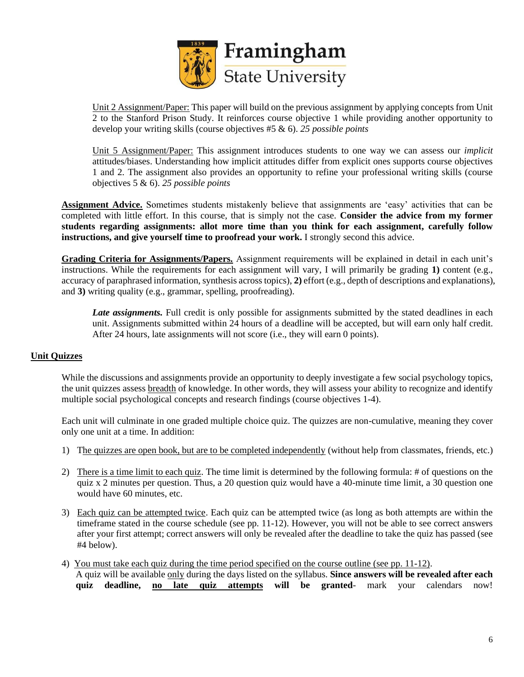

Unit 2 Assignment/Paper: This paper will build on the previous assignment by applying concepts from Unit 2 to the Stanford Prison Study. It reinforces course objective 1 while providing another opportunity to develop your writing skills (course objectives #5 & 6). *25 possible points*

Unit 5 Assignment/Paper: This assignment introduces students to one way we can assess our *implicit* attitudes/biases. Understanding how implicit attitudes differ from explicit ones supports course objectives 1 and 2. The assignment also provides an opportunity to refine your professional writing skills (course objectives 5 & 6). *25 possible points*

**Assignment Advice.** Sometimes students mistakenly believe that assignments are 'easy' activities that can be completed with little effort. In this course, that is simply not the case. **Consider the advice from my former students regarding assignments: allot more time than you think for each assignment, carefully follow instructions, and give yourself time to proofread your work.** I strongly second this advice.

**Grading Criteria for Assignments/Papers.** Assignment requirements will be explained in detail in each unit's instructions. While the requirements for each assignment will vary, I will primarily be grading **1)** content (e.g., accuracy of paraphrased information, synthesis across topics), **2)** effort (e.g., depth of descriptions and explanations), and **3)** writing quality (e.g., grammar, spelling, proofreading).

*Late assignments.* Full credit is only possible for assignments submitted by the stated deadlines in each unit. Assignments submitted within 24 hours of a deadline will be accepted, but will earn only half credit. After 24 hours, late assignments will not score (i.e., they will earn 0 points).

### **Unit Quizzes**

While the discussions and assignments provide an opportunity to deeply investigate a few social psychology topics, the unit quizzes assess breadth of knowledge. In other words, they will assess your ability to recognize and identify multiple social psychological concepts and research findings (course objectives 1-4).

Each unit will culminate in one graded multiple choice quiz. The quizzes are non-cumulative, meaning they cover only one unit at a time. In addition:

- 1) The quizzes are open book, but are to be completed independently (without help from classmates, friends, etc.)
- 2) There is a time limit to each quiz. The time limit is determined by the following formula: # of questions on the quiz x 2 minutes per question. Thus, a 20 question quiz would have a 40-minute time limit, a 30 question one would have 60 minutes, etc.
- 3) Each quiz can be attempted twice. Each quiz can be attempted twice (as long as both attempts are within the timeframe stated in the course schedule (see pp. 11-12). However, you will not be able to see correct answers after your first attempt; correct answers will only be revealed after the deadline to take the quiz has passed (see #4 below).
- 4) You must take each quiz during the time period specified on the course outline (see pp. 11-12). A quiz will be available only during the days listed on the syllabus. **Since answers will be revealed after each quiz deadline, no late quiz attempts will be granted**- mark your calendars now!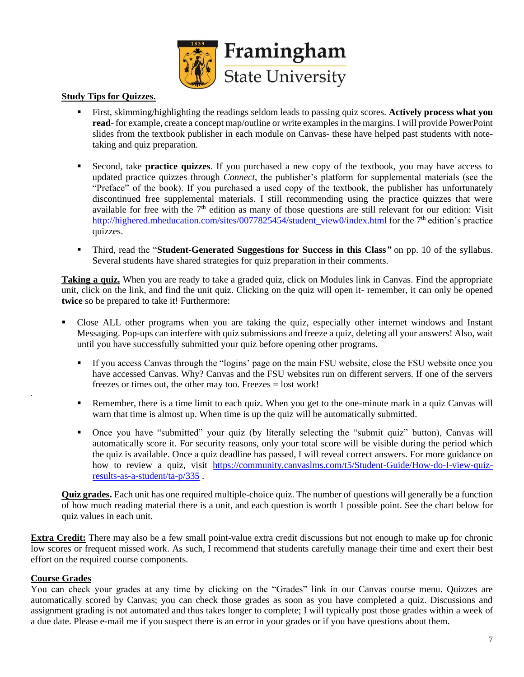

### **Study Tips for Quizzes.**

- First, skimming/highlighting the readings seldom leads to passing quiz scores. **Actively process what you read**- for example, create a concept map/outline or write examples in the margins. I will provide PowerPoint slides from the textbook publisher in each module on Canvas- these have helped past students with notetaking and quiz preparation.
- Second, take **practice quizzes**. If you purchased a new copy of the textbook, you may have access to updated practice quizzes through *Connect*, the publisher's platform for supplemental materials (see the "Preface" of the book). If you purchased a used copy of the textbook, the publisher has unfortunately discontinued free supplemental materials. I still recommending using the practice quizzes that were available for free with the  $7<sup>th</sup>$  edition as many of those questions are still relevant for our edition: Visit [http://highered.mheducation.com/sites/0077825454/student\\_view0/index.html](http://highered.mheducation.com/sites/0077825454/student_view0/index.html) for the 7<sup>th</sup> edition's practice quizzes.
- Third, read the "**Student-Generated Suggestions for Success in this Class***"* on pp. 10 of the syllabus. Several students have shared strategies for quiz preparation in their comments.

**Taking a quiz.** When you are ready to take a graded quiz, click on Modules link in Canvas. Find the appropriate unit, click on the link, and find the unit quiz. Clicking on the quiz will open it- remember, it can only be opened **twice** so be prepared to take it! Furthermore:

- Close ALL other programs when you are taking the quiz, especially other internet windows and Instant Messaging. Pop-ups can interfere with quiz submissions and freeze a quiz, deleting all your answers! Also, wait until you have successfully submitted your quiz before opening other programs.
	- If you access Canvas through the "logins' page on the main FSU website, close the FSU website once you have accessed Canvas. Why? Canvas and the FSU websites run on different servers. If one of the servers freezes or times out, the other may too. Freezes = lost work!
	- **•** Remember, there is a time limit to each quiz. When you get to the one-minute mark in a quiz Canvas will warn that time is almost up. When time is up the quiz will be automatically submitted.
	- Once you have "submitted" your quiz (by literally selecting the "submit quiz" button), Canvas will automatically score it. For security reasons, only your total score will be visible during the period which the quiz is available. Once a quiz deadline has passed, I will reveal correct answers. For more guidance on how to review a quiz, visit [https://community.canvaslms.com/t5/Student-Guide/How-do-I-view-quiz](https://community.canvaslms.com/t5/Student-Guide/How-do-I-view-quiz-results-as-a-student/ta-p/335)[results-as-a-student/ta-p/335](https://community.canvaslms.com/t5/Student-Guide/How-do-I-view-quiz-results-as-a-student/ta-p/335) .

**Quiz grades.** Each unit has one required multiple-choice quiz. The number of questions will generally be a function of how much reading material there is a unit, and each question is worth 1 possible point. See the chart below for quiz values in each unit.

**Extra Credit:** There may also be a few small point-value extra credit discussions but not enough to make up for chronic low scores or frequent missed work. As such, I recommend that students carefully manage their time and exert their best effort on the required course components.

### **Course Grades**

.

You can check your grades at any time by clicking on the "Grades" link in our Canvas course menu. Quizzes are automatically scored by Canvas; you can check those grades as soon as you have completed a quiz. Discussions and assignment grading is not automated and thus takes longer to complete; I will typically post those grades within a week of a due date. Please e-mail me if you suspect there is an error in your grades or if you have questions about them.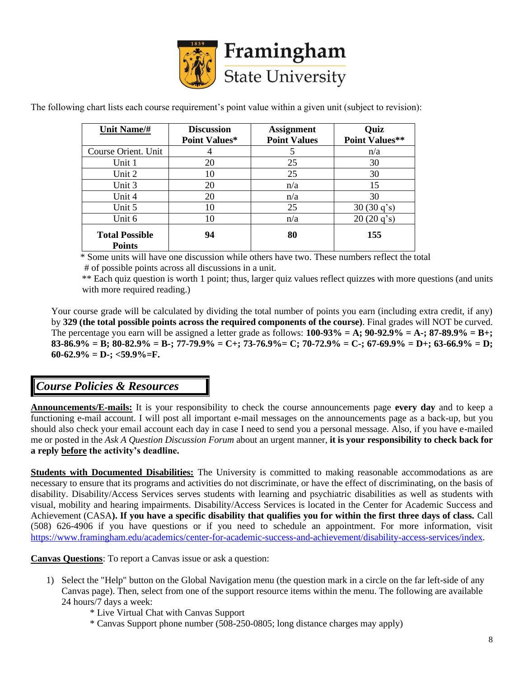

The following chart lists each course requirement's point value within a given unit (subject to revision):

| Unit Name/#                            | <b>Discussion</b>    | <b>Assignment</b>   | Quiz                  |
|----------------------------------------|----------------------|---------------------|-----------------------|
|                                        | <b>Point Values*</b> | <b>Point Values</b> | <b>Point Values**</b> |
| Course Orient. Unit                    |                      |                     | n/a                   |
| Unit 1                                 | 20                   | 25                  | 30                    |
| Unit 2                                 | 10                   | 25                  | 30                    |
| Unit 3                                 | 20                   | n/a                 | 15                    |
| Unit 4                                 | 20                   | n/a                 | 30                    |
| Unit 5                                 | 10                   | 25                  | 30(30q's)             |
| Unit 6                                 | 10                   | n/a                 | 20(20q's)             |
| <b>Total Possible</b><br><b>Points</b> | 94                   | 80                  | 155                   |

 \* Some units will have one discussion while others have two. These numbers reflect the total # of possible points across all discussions in a unit.

 \*\* Each quiz question is worth 1 point; thus, larger quiz values reflect quizzes with more questions (and units with more required reading.)

Your course grade will be calculated by dividing the total number of points you earn (including extra credit, if any) by **329 (the total possible points across the required components of the course)**. Final grades will NOT be curved. The percentage you earn will be assigned a letter grade as follows:  $100-93\% = A$ ;  $90-92.9\% = A$ ;  $87-89.9\% = B$ ; **83-86.9% = B; 80-82.9% = B-; 77-79.9% = C+; 73-76.9%= C; 70-72.9% = C-; 67-69.9% = D+; 63-66.9% = D;**   $60-62.9\% = D$ -;  $<$ 59.9%=F.

### *Course Policies & Resources*

**Announcements/E-mails:** It is your responsibility to check the course announcements page **every day** and to keep a functioning e-mail account. I will post all important e-mail messages on the announcements page as a back-up, but you should also check your email account each day in case I need to send you a personal message. Also, if you have e-mailed me or posted in the *Ask A Question Discussion Forum* about an urgent manner, **it is your responsibility to check back for a reply before the activity's deadline.** 

**Students with Documented Disabilities:** The University is committed to making reasonable accommodations as are necessary to ensure that its programs and activities do not discriminate, or have the effect of discriminating, on the basis of disability. Disability/Access Services serves students with learning and psychiatric disabilities as well as students with visual, mobility and hearing impairments. Disability/Access Services is located in the Center for Academic Success and Achievement (CASA**). If you have a specific disability that qualifies you for within the first three days of class.** Call (508) 626-4906 if you have questions or if you need to schedule an appointment. For more information, visit [https://www.framingham.edu/academics/center-for-academic-success-and-achievement/disability-access-services/index.](https://www.framingham.edu/academics/center-for-academic-success-and-achievement/disability-access-services/index)

**Canvas Questions**: To report a Canvas issue or ask a question:

- 1) Select the "Help" button on the Global Navigation menu (the question mark in a circle on the far left-side of any Canvas page). Then, select from one of the support resource items within the menu. The following are available 24 hours/7 days a week:
	- \* Live Virtual Chat with Canvas Support
	- \* Canvas Support phone number (508-250-0805; long distance charges may apply)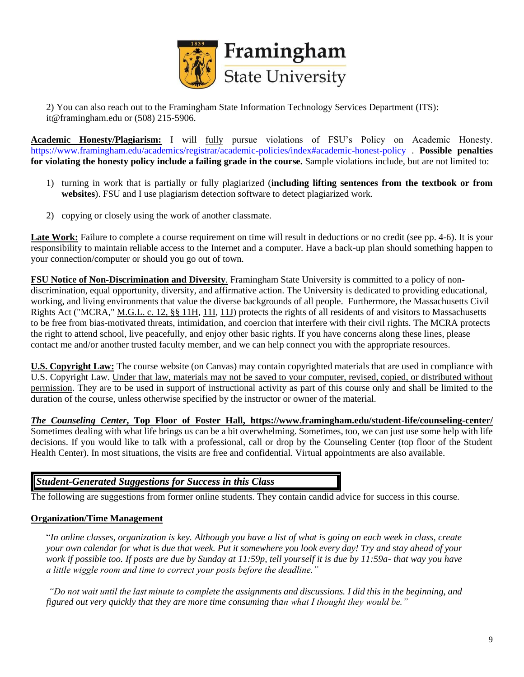

2) You can also reach out to the Framingham State Information Technology Services Department (ITS): it@framingham.edu or (508) 215-5906.

**Academic Honesty/Plagiarism:** I will fully pursue violations of FSU's Policy on Academic Honesty. <https://www.framingham.edu/academics/registrar/academic-policies/index#academic-honest-policy> . **Possible penalties for violating the honesty policy include a failing grade in the course.** Sample violations include, but are not limited to:

- 1) turning in work that is partially or fully plagiarized (**including lifting sentences from the textbook or from websites**). FSU and I use plagiarism detection software to detect plagiarized work.
- 2) copying or closely using the work of another classmate.

Late Work: Failure to complete a course requirement on time will result in deductions or no credit (see pp. 4-6). It is your responsibility to maintain reliable access to the Internet and a computer. Have a back-up plan should something happen to your connection/computer or should you go out of town.

**FSU Notice of Non-Discrimination and Diversity**. Framingham State University is committed to a policy of nondiscrimination, equal opportunity, diversity, and affirmative action. The University is dedicated to providing educational, working, and living environments that value the diverse backgrounds of all people. Furthermore, the Massachusetts Civil Rights Act ("MCRA," [M.G.L. c. 12, §§ 11H,](https://mail.framingham.edu/owa/redir.aspx?C=Q8tA3THw7tG-T8S9BOnK3W5rOSQpaRvpZf7_KJbdk09zp8OQIgzWCA..&URL=https%3a%2f%2fmalegislature.gov%2fLaws%2fGeneralLaws%2fPartI%2fTitleII%2fChapter12%2fSection11H) [11I,](https://mail.framingham.edu/owa/redir.aspx?C=B4dbVRMtwlch6aAvMCeZBOECSW13aBdhc9PVCqUvN6Zzp8OQIgzWCA..&URL=https%3a%2f%2fmalegislature.gov%2fLaws%2fGeneralLaws%2fPartI%2fTitleII%2fChapter12%2fSection11I) [11J\)](https://mail.framingham.edu/owa/redir.aspx?C=JHzuZkM9PdqkJw8pLlrfjPC0dqkULmWKxAjPhrW5ZNlzp8OQIgzWCA..&URL=https%3a%2f%2fmalegislature.gov%2fLaws%2fGeneralLaws%2fPartI%2fTitleII%2fChapter12%2fSection11J) protects the rights of all residents of and visitors to Massachusetts to be free from bias-motivated threats, intimidation, and coercion that interfere with their civil rights. The MCRA protects the right to attend school, live peacefully, and enjoy other basic rights. If you have concerns along these lines, please contact me and/or another trusted faculty member, and we can help connect you with the appropriate resources.

**U.S. Copyright Law:** The course website (on Canvas) may contain copyrighted materials that are used in compliance with U.S. Copyright Law. Under that law, materials may not be saved to your computer, revised, copied, or distributed without permission. They are to be used in support of instructional activity as part of this course only and shall be limited to the duration of the course, unless otherwise specified by the instructor or owner of the material.

*The Counseling Center***, Top Floor of Foster Hall, https://www.framingham.edu/student-life/counseling-center/** Sometimes dealing with what life brings us can be a bit overwhelming. Sometimes, too, we can just use some help with life decisions. If you would like to talk with a professional, call or drop by the Counseling Center (top floor of the Student Health Center). In most situations, the visits are free and confidential. Virtual appointments are also available.

### *Student-Generated Suggestions for Success in this Class*

The following are suggestions from former online students. They contain candid advice for success in this course.

### **Organization/Time Management**

"*In online classes, organization is key. Although you have a list of what is going on each week in class, create your own calendar for what is due that week. Put it somewhere you look every day! Try and stay ahead of your work if possible too. If posts are due by Sunday at 11:59p, tell yourself it is due by 11:59a- that way you have a little wiggle room and time to correct your posts before the deadline."*

*"Do not wait until the last minute to complete the assignments and discussions. I did this in the beginning, and figured out very quickly that they are more time consuming than what I thought they would be."*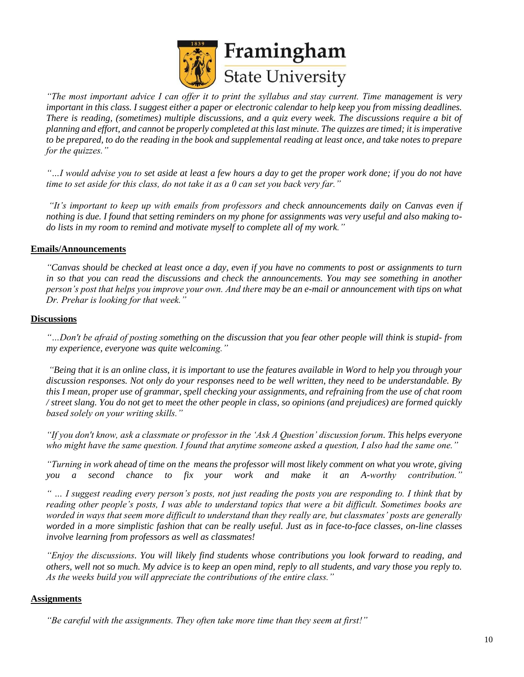

*"The most important advice I can offer it to print the syllabus and stay current. Time management is very important in this class. I suggest either a paper or electronic calendar to help keep you from missing deadlines. There is reading, (sometimes) multiple discussions, and a quiz every week. The discussions require a bit of planning and effort, and cannot be properly completed at this last minute. The quizzes are timed; it is imperative to be prepared, to do the reading in the book and supplemental reading at least once, and take notes to prepare for the quizzes."*

*"…I would advise you to set aside at least a few hours a day to get the proper work done; if you do not have time to set aside for this class, do not take it as a 0 can set you back very far."*

*"It's important to keep up with emails from professors and check announcements daily on Canvas even if nothing is due. I found that setting reminders on my phone for assignments was very useful and also making todo lists in my room to remind and motivate myself to complete all of my work."*

### **Emails/Announcements**

*"Canvas should be checked at least once a day, even if you have no comments to post or assignments to turn in so that you can read the discussions and check the announcements. You may see something in another person's post that helps you improve your own. And there may be an e-mail or announcement with tips on what Dr. Prehar is looking for that week."*

### **Discussions**

*"…Don't be afraid of posting something on the discussion that you fear other people will think is stupid- from my experience, everyone was quite welcoming."*

*"Being that it is an online class, it is important to use the features available in Word to help you through your discussion responses. Not only do your responses need to be well written, they need to be understandable. By this I mean, proper use of grammar, spell checking your assignments, and refraining from the use of chat room / street slang. You do not get to meet the other people in class, so opinions (and prejudices) are formed quickly based solely on your writing skills."*

*"If you don't know, ask a classmate or professor in the 'Ask A Question' discussion forum. This helps everyone who might have the same question. I found that anytime someone asked a question, I also had the same one."*

*"Turning in work ahead of time on the means the professor will most likely comment on what you wrote, giving you a second chance to fix your work and make it an A-worthy contribution."*

*" … I suggest reading every person's posts, not just reading the posts you are responding to. I think that by reading other people's posts, I was able to understand topics that were a bit difficult. Sometimes books are worded in ways that seem more difficult to understand than they really are, but classmates' posts are generally worded in a more simplistic fashion that can be really useful. Just as in face-to-face classes, on-line classes involve learning from professors as well as classmates!*

*"Enjoy the discussions. You will likely find students whose contributions you look forward to reading, and others, well not so much. My advice is to keep an open mind, reply to all students, and vary those you reply to. As the weeks build you will appreciate the contributions of the entire class."*

### **Assignments**

*"Be careful with the assignments. They often take more time than they seem at first!"*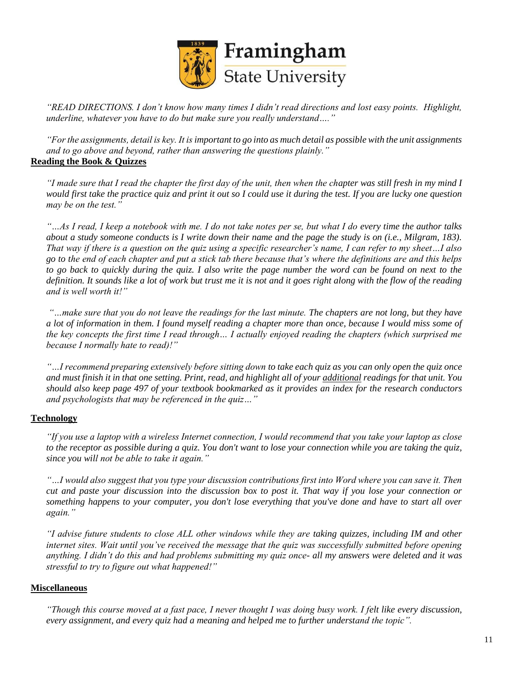

*"READ DIRECTIONS. I don't know how many times I didn't read directions and lost easy points. Highlight, underline, whatever you have to do but make sure you really understand…."*

*"For the assignments, detail is key. It is important to go into as much detail as possible with the unit assignments and to go above and beyond, rather than answering the questions plainly."* **Reading the Book & Quizzes**

*"I made sure that I read the chapter the first day of the unit, then when the chapter was still fresh in my mind I would first take the practice quiz and print it out so I could use it during the test. If you are lucky one question may be on the test."* 

*"…As I read, I keep a notebook with me. I do not take notes per se, but what I do every time the author talks about a study someone conducts is I write down their name and the page the study is on (i.e., Milgram, 183). That way if there is a question on the quiz using a specific researcher's name, I can refer to my sheet…I also go to the end of each chapter and put a stick tab there because that's where the definitions are and this helps to go back to quickly during the quiz. I also write the page number the word can be found on next to the definition. It sounds like a lot of work but trust me it is not and it goes right along with the flow of the reading and is well worth it!"*

*"…make sure that you do not leave the readings for the last minute. The chapters are not long, but they have a lot of information in them. I found myself reading a chapter more than once, because I would miss some of the key concepts the first time I read through… I actually enjoyed reading the chapters (which surprised me because I normally hate to read)!"*

*"…I recommend preparing extensively before sitting down to take each quiz as you can only open the quiz once and must finish it in that one setting. Print, read, and highlight all of your additional readings for that unit. You should also keep page 497 of your textbook bookmarked as it provides an index for the research conductors and psychologists that may be referenced in the quiz…"*

### **Technology**

*"If you use a laptop with a wireless Internet connection, I would recommend that you take your laptop as close to the receptor as possible during a quiz. You don't want to lose your connection while you are taking the quiz, since you will not be able to take it again."*

*"…I would also suggest that you type your discussion contributions first into Word where you can save it. Then cut and paste your discussion into the discussion box to post it. That way if you lose your connection or something happens to your computer, you don't lose everything that you've done and have to start all over again."*

*"I advise future students to close ALL other windows while they are taking quizzes, including IM and other internet sites. Wait until you've received the message that the quiz was successfully submitted before opening anything. I didn't do this and had problems submitting my quiz once- all my answers were deleted and it was stressful to try to figure out what happened!"*

### **Miscellaneous**

*"Though this course moved at a fast pace, I never thought I was doing busy work. I felt like every discussion, every assignment, and every quiz had a meaning and helped me to further understand the topic".*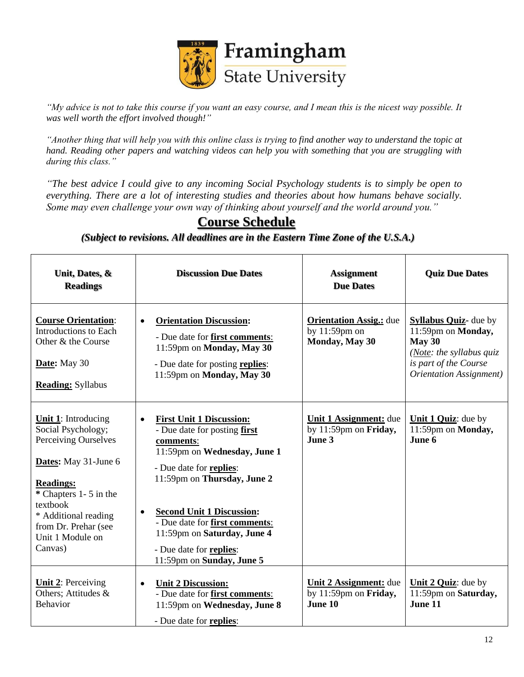

*"My advice is not to take this course if you want an easy course, and I mean this is the nicest way possible. It was well worth the effort involved though!"*

*"Another thing that will help you with this online class is trying to find another way to understand the topic at hand. Reading other papers and watching videos can help you with something that you are struggling with during this class."*

*"The best advice I could give to any incoming Social Psychology students is to simply be open to everything. There are a lot of interesting studies and theories about how humans behave socially. Some may even challenge your own way of thinking about yourself and the world around you."*

| Unit, Dates, &<br><b>Readings</b>                                                                                                                                                                                                        | <b>Discussion Due Dates</b>                                                                                                                                                                                                                                                                                                                                   | <b>Assignment</b><br><b>Due Dates</b>                                | <b>Quiz Due Dates</b>                                                                                                                                          |
|------------------------------------------------------------------------------------------------------------------------------------------------------------------------------------------------------------------------------------------|---------------------------------------------------------------------------------------------------------------------------------------------------------------------------------------------------------------------------------------------------------------------------------------------------------------------------------------------------------------|----------------------------------------------------------------------|----------------------------------------------------------------------------------------------------------------------------------------------------------------|
| <b>Course Orientation:</b><br>Introductions to Each<br>Other & the Course<br>Date: May 30<br><b>Reading:</b> Syllabus                                                                                                                    | <b>Orientation Discussion:</b><br>$\bullet$<br>- Due date for <b>first comments</b> :<br>11:59pm on Monday, May 30<br>- Due date for posting replies:<br>11:59pm on Monday, May 30                                                                                                                                                                            | <b>Orientation Assig.:</b> due<br>by $11:59$ pm on<br>Monday, May 30 | <b>Syllabus Quiz-</b> due by<br>11:59pm on Monday,<br>May 30<br>( <i>Note: the syllabus quiz</i> )<br>is part of the Course<br><b>Orientation Assignment</b> ) |
| <b>Unit 1:</b> Introducing<br>Social Psychology;<br>Perceiving Ourselves<br>Dates: May 31-June 6<br><b>Readings:</b><br>* Chapters 1-5 in the<br>textbook<br>* Additional reading<br>from Dr. Prehar (see<br>Unit 1 Module on<br>Canvas) | <b>First Unit 1 Discussion:</b><br>$\bullet$<br>- Due date for posting first<br>comments:<br>11:59pm on Wednesday, June 1<br>- Due date for replies:<br>11:59pm on Thursday, June 2<br><b>Second Unit 1 Discussion:</b><br>$\bullet$<br>- Due date for first comments:<br>11:59pm on Saturday, June 4<br>- Due date for replies:<br>11:59pm on Sunday, June 5 | <b>Unit 1 Assignment:</b> due<br>by 11:59pm on Friday,<br>June 3     | Unit 1 Quiz: due by<br>11:59pm on Monday,<br>June 6                                                                                                            |
| <b>Unit 2: Perceiving</b><br>Others; Attitudes &<br>Behavior                                                                                                                                                                             | <b>Unit 2 Discussion:</b><br>$\bullet$<br>- Due date for first comments:<br>11:59pm on Wednesday, June 8<br>- Due date for replies:                                                                                                                                                                                                                           | Unit 2 Assignment: due<br>by 11:59pm on Friday,<br>June 10           | Unit 2 Quiz: due by<br>11:59pm on Saturday,<br>June 11                                                                                                         |

# **Course Schedule**

*(Subject to revisions. All deadlines are in the Eastern Time Zone of the U.S.A.)*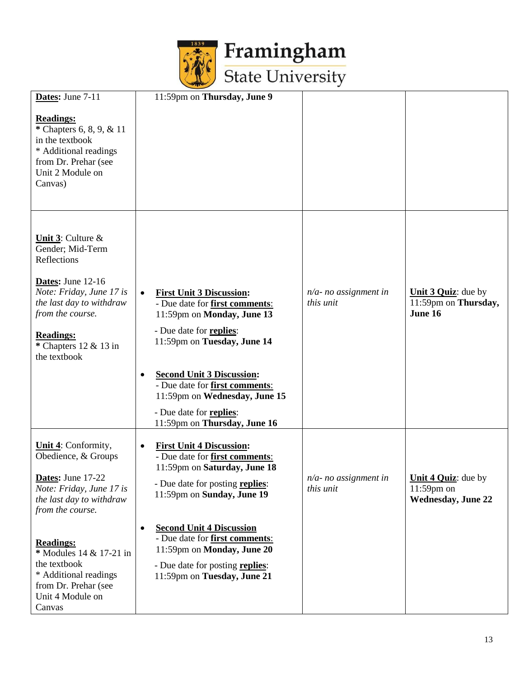

|                                                                   | $-1$                                                                                                                     |                                       |                                          |
|-------------------------------------------------------------------|--------------------------------------------------------------------------------------------------------------------------|---------------------------------------|------------------------------------------|
| Dates: June 7-11<br><b>Readings:</b>                              | 11:59pm on Thursday, June 9                                                                                              |                                       |                                          |
| * Chapters 6, 8, 9, & 11<br>in the textbook                       |                                                                                                                          |                                       |                                          |
| * Additional readings<br>from Dr. Prehar (see<br>Unit 2 Module on |                                                                                                                          |                                       |                                          |
| Canvas)                                                           |                                                                                                                          |                                       |                                          |
| <b>Unit 3:</b> Culture $\&$                                       |                                                                                                                          |                                       |                                          |
| Gender; Mid-Term<br>Reflections                                   |                                                                                                                          |                                       |                                          |
| <b>Dates:</b> June $12-16$<br>Note: Friday, June 17 is            | <b>First Unit 3 Discussion:</b><br>$\bullet$                                                                             | $n/a$ - no assignment in              | Unit 3 Quiz: due by                      |
| the last day to withdraw<br>from the course.                      | - Due date for <b>first comments</b> :<br>11:59pm on Monday, June 13                                                     | this unit                             | 11:59pm on Thursday,<br>June 16          |
| <b>Readings:</b><br>* Chapters $12 \& 13$ in<br>the textbook      | - Due date for replies:<br>11:59pm on Tuesday, June 14                                                                   |                                       |                                          |
|                                                                   | <b>Second Unit 3 Discussion:</b><br>$\bullet$<br>- Due date for <b>first comments</b> :<br>11:59pm on Wednesday, June 15 |                                       |                                          |
|                                                                   | - Due date for replies:<br>11:59pm on Thursday, June 16                                                                  |                                       |                                          |
| <b>Unit 4:</b> Conformity,<br>Obedience, & Groups                 | <b>First Unit 4 Discussion:</b><br>$\bullet$<br>- Due date for first comments:                                           |                                       |                                          |
| Dates: June 17-22<br>Note: Friday, June 17 is                     | 11:59pm on Saturday, June 18<br>- Due date for posting replies:                                                          | $n/a$ - no assignment in<br>this unit | <b>Unit 4 Quiz:</b> due by<br>11:59pm on |
| the last day to withdraw<br>from the course.                      | 11:59pm on Sunday, June 19                                                                                               |                                       | <b>Wednesday, June 22</b>                |
| <b>Readings:</b>                                                  | <b>Second Unit 4 Discussion</b><br>$\bullet$<br>- Due date for <b>first comments</b> :                                   |                                       |                                          |
| * Modules 14 & 17-21 in<br>the textbook                           | 11:59pm on Monday, June 20<br>- Due date for posting replies:                                                            |                                       |                                          |
| * Additional readings<br>from Dr. Prehar (see<br>Unit 4 Module on | 11:59pm on Tuesday, June 21                                                                                              |                                       |                                          |
| Canvas                                                            |                                                                                                                          |                                       |                                          |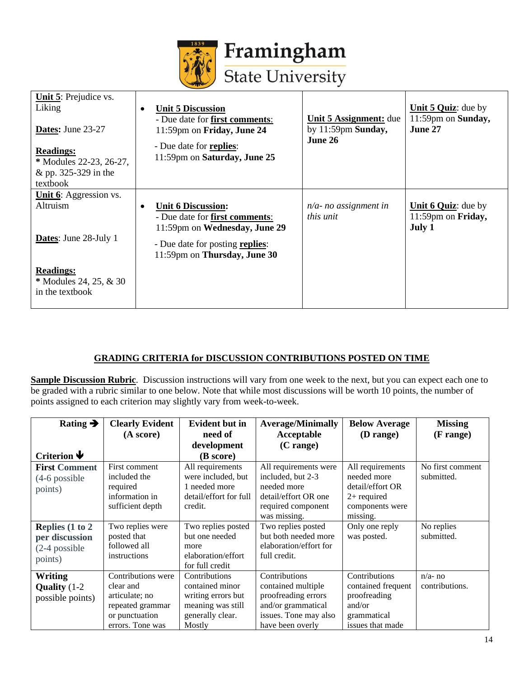

| Unit 5: Prejudice vs.<br>Liking<br>Dates: June 23-27<br><b>Readings:</b><br>* Modules 22-23, 26-27,<br>& pp. 325-329 in the | <b>Unit 5 Discussion</b><br>$\bullet$<br>- Due date for first comments:<br>11:59pm on Friday, June 24<br>- Due date for replies:<br>11:59pm on Saturday, June 25 | <b>Unit 5 Assignment:</b> due<br>by $11:59$ pm Sunday,<br>June 26 | <b>Unit 5 Quiz:</b> due by<br>11:59pm on Sunday,<br>June 27 |
|-----------------------------------------------------------------------------------------------------------------------------|------------------------------------------------------------------------------------------------------------------------------------------------------------------|-------------------------------------------------------------------|-------------------------------------------------------------|
| textbook                                                                                                                    |                                                                                                                                                                  |                                                                   |                                                             |
| <b>Unit 6:</b> Aggression vs.                                                                                               |                                                                                                                                                                  |                                                                   |                                                             |
| <b>Altruism</b>                                                                                                             | <b>Unit 6 Discussion:</b><br>$\bullet$<br>- Due date for first comments:<br>11:59pm on Wednesday, June 29                                                        | $n/a$ - no assignment in<br><i>this unit</i>                      | <b>Unit 6 Quiz:</b> due by<br>11:59pm on Friday,<br>July 1  |
| Dates: June 28-July 1                                                                                                       | - Due date for posting replies:<br>11:59pm on Thursday, June 30                                                                                                  |                                                                   |                                                             |
| <b>Readings:</b><br>* Modules 24, 25, & 30<br>in the textbook                                                               |                                                                                                                                                                  |                                                                   |                                                             |

### **GRADING CRITERIA for DISCUSSION CONTRIBUTIONS POSTED ON TIME**

**Sample Discussion Rubric**. Discussion instructions will vary from one week to the next, but you can expect each one to be graded with a rubric similar to one below. Note that while most discussions will be worth 10 points, the number of points assigned to each criterion may slightly vary from week-to-week.

| Rating $\rightarrow$                                                | <b>Clearly Evident</b><br>(A score)                                                                         | <b>Evident but in</b><br>need of<br>development                                                           | <b>Average/Minimally</b><br>Acceptable<br>$(C \text{ range})$                                                                 | <b>Below Average</b><br>(D range)                                                                   | <b>Missing</b><br>$(F \text{ range})$ |
|---------------------------------------------------------------------|-------------------------------------------------------------------------------------------------------------|-----------------------------------------------------------------------------------------------------------|-------------------------------------------------------------------------------------------------------------------------------|-----------------------------------------------------------------------------------------------------|---------------------------------------|
| Criterion $\blacklozenge$                                           |                                                                                                             | (B score)                                                                                                 |                                                                                                                               |                                                                                                     |                                       |
| <b>First Comment</b><br>$(4-6)$ possible<br>points)                 | First comment<br>included the<br>required<br>information in<br>sufficient depth                             | All requirements<br>were included, but<br>1 needed more<br>detail/effort for full<br>credit.              | All requirements were<br>included, but 2-3<br>needed more<br>detail/effort OR one<br>required component<br>was missing.       | All requirements<br>needed more<br>detail/effort OR<br>$2+$ required<br>components were<br>missing. | No first comment<br>submitted.        |
| Replies $(1 to 2)$<br>per discussion<br>$(2-4)$ possible<br>points) | Two replies were<br>posted that<br>followed all<br>instructions                                             | Two replies posted<br>but one needed<br>more<br>elaboration/effort<br>for full credit                     | Two replies posted<br>but both needed more<br>elaboration/effort for<br>full credit.                                          | Only one reply<br>was posted.                                                                       | No replies<br>submitted.              |
| <b>Writing</b><br>Quality $(1-2)$<br>possible points)               | Contributions were<br>clear and<br>articulate; no<br>repeated grammar<br>or punctuation<br>errors. Tone was | Contributions<br>contained minor<br>writing errors but<br>meaning was still<br>generally clear.<br>Mostly | Contributions<br>contained multiple<br>proofreading errors<br>and/or grammatical<br>issues. Tone may also<br>have been overly | Contributions<br>contained frequent<br>proofreading<br>and/or<br>grammatical<br>issues that made    | $n/a$ - no<br>contributions.          |